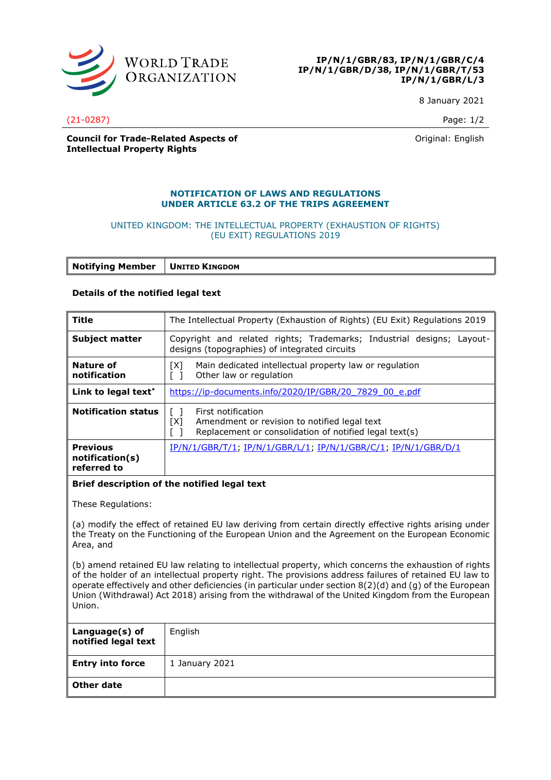

8 January 2021

(21-0287) Page: 1/2

**Council for Trade-Related Aspects of Intellectual Property Rights**

Original: English

## **NOTIFICATION OF LAWS AND REGULATIONS UNDER ARTICLE 63.2 OF THE TRIPS AGREEMENT**

## UNITED KINGDOM: THE INTELLECTUAL PROPERTY (EXHAUSTION OF RIGHTS) (EU EXIT) REGULATIONS 2019

**Notifying Member UNITED KINGDOM**

## **Details of the notified legal text**

| <b>Title</b>                                                                                                                                                                                                                                                                                                                                                                                                                            | The Intellectual Property (Exhaustion of Rights) (EU Exit) Regulations 2019                                                                                               |
|-----------------------------------------------------------------------------------------------------------------------------------------------------------------------------------------------------------------------------------------------------------------------------------------------------------------------------------------------------------------------------------------------------------------------------------------|---------------------------------------------------------------------------------------------------------------------------------------------------------------------------|
| <b>Subject matter</b>                                                                                                                                                                                                                                                                                                                                                                                                                   | Copyright and related rights; Trademarks; Industrial designs; Layout-<br>designs (topographies) of integrated circuits                                                    |
| <b>Nature of</b><br>notification                                                                                                                                                                                                                                                                                                                                                                                                        | Main dedicated intellectual property law or regulation<br>[X]<br>$\lceil$ $\rceil$<br>Other law or regulation                                                             |
| Link to legal text*                                                                                                                                                                                                                                                                                                                                                                                                                     | https://ip-documents.info/2020/IP/GBR/20 7829 00 e.pdf                                                                                                                    |
| <b>Notification status</b>                                                                                                                                                                                                                                                                                                                                                                                                              | $\lceil \rceil$<br>First notification<br>[X]<br>Amendment or revision to notified legal text<br>Replacement or consolidation of notified legal text(s)<br>$\lceil \rceil$ |
| <b>Previous</b><br>notification(s)<br>referred to                                                                                                                                                                                                                                                                                                                                                                                       | IP/N/1/GBR/T/1; IP/N/1/GBR/L/1; IP/N/1/GBR/C/1; IP/N/1/GBR/D/1                                                                                                            |
| Brief description of the notified legal text                                                                                                                                                                                                                                                                                                                                                                                            |                                                                                                                                                                           |
| These Regulations:                                                                                                                                                                                                                                                                                                                                                                                                                      |                                                                                                                                                                           |
| (a) modify the effect of retained EU law deriving from certain directly effective rights arising under<br>the Treaty on the Functioning of the European Union and the Agreement on the European Economic<br>Area, and                                                                                                                                                                                                                   |                                                                                                                                                                           |
| (b) amend retained EU law relating to intellectual property, which concerns the exhaustion of rights<br>of the holder of an intellectual property right. The provisions address failures of retained EU law to<br>operate effectively and other deficiencies (in particular under section 8(2)(d) and (g) of the European<br>Union (Withdrawal) Act 2018) arising from the withdrawal of the United Kingdom from the European<br>Union. |                                                                                                                                                                           |
| Language(s) of<br>notified legal text                                                                                                                                                                                                                                                                                                                                                                                                   | English                                                                                                                                                                   |
| <b>Entry into force</b>                                                                                                                                                                                                                                                                                                                                                                                                                 | 1 January 2021                                                                                                                                                            |
| Other date                                                                                                                                                                                                                                                                                                                                                                                                                              |                                                                                                                                                                           |